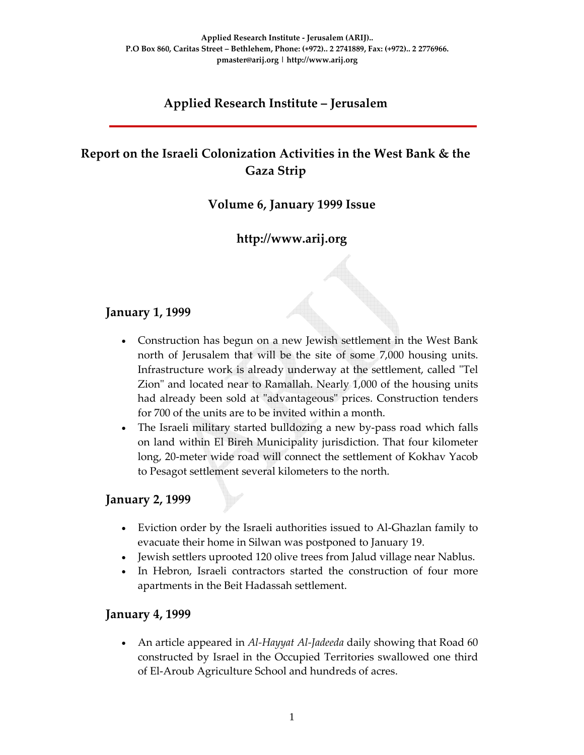# **Applied Research Institute – Jerusalem**

# **Report on the Israeli Colonization Activities in the West Bank & the Gaza Strip**

# **Volume 6, January 1999 Issue**

# **http://www.arij.org**

### **January 1, 1999**

- Construction has begun on a new Jewish settlement in the West Bank north of Jerusalem that will be the site of some 7,000 housing units. Infrastructure work is already underway at the settlement, called "Tel Zion" and located near to Ramallah. Nearly 1,000 of the housing units had already been sold at "advantageous" prices. Construction tenders for 700 of the units are to be invited within a month.
- The Israeli military started bulldozing a new by-pass road which falls on land within El Bireh Municipality jurisdiction. That four kilometer long, 20‐meter wide road will connect the settlement of Kokhav Yacob to Pesagot settlement several kilometers to the north.

### **January 2, 1999**

- Eviction order by the Israeli authorities issued to Al-Ghazlan family to evacuate their home in Silwan was postponed to January 19.
- Jewish settlers uprooted 120 olive trees from Jalud village near Nablus.
- In Hebron, Israeli contractors started the construction of four more apartments in the Beit Hadassah settlement.

### **January 4, 1999**

• An article appeared in *Al‐Hayyat Al‐Jadeeda* daily showing that Road 60 constructed by Israel in the Occupied Territories swallowed one third of El‐Aroub Agriculture School and hundreds of acres.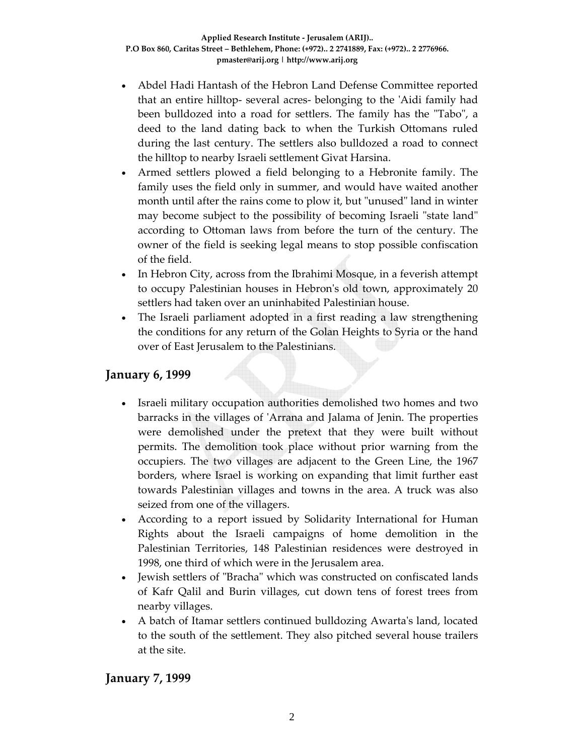- Abdel Hadi Hantash of the Hebron Land Defense Committee reported that an entire hilltop‐ several acres‐ belonging to the ʹAidi family had been bulldozed into a road for settlers. The family has the "Tabo", a deed to the land dating back to when the Turkish Ottomans ruled during the last century. The settlers also bulldozed a road to connect the hilltop to nearby Israeli settlement Givat Harsina.
- Armed settlers plowed a field belonging to a Hebronite family. The family uses the field only in summer, and would have waited another month until after the rains come to plow it, but "unused" land in winter may become subject to the possibility of becoming Israeli "state land" according to Ottoman laws from before the turn of the century. The owner of the field is seeking legal means to stop possible confiscation of the field.
- In Hebron City, across from the Ibrahimi Mosque, in a feverish attempt to occupy Palestinian houses in Hebronʹs old town, approximately 20 settlers had taken over an uninhabited Palestinian house.
- The Israeli parliament adopted in a first reading a law strengthening the conditions for any return of the Golan Heights to Syria or the hand over of East Jerusalem to the Palestinians.

### **January 6, 1999**

- Israeli military occupation authorities demolished two homes and two barracks in the villages of ʹArrana and Jalama of Jenin. The properties were demolished under the pretext that they were built without permits. The demolition took place without prior warning from the occupiers. The two villages are adjacent to the Green Line, the 1967 borders, where Israel is working on expanding that limit further east towards Palestinian villages and towns in the area. A truck was also seized from one of the villagers.
- According to a report issued by Solidarity International for Human Rights about the Israeli campaigns of home demolition in the Palestinian Territories, 148 Palestinian residences were destroyed in 1998, one third of which were in the Jerusalem area.
- Jewish settlers of "Bracha" which was constructed on confiscated lands of Kafr Qalil and Burin villages, cut down tens of forest trees from nearby villages.
- A batch of Itamar settlers continued bulldozing Awartaʹs land, located to the south of the settlement. They also pitched several house trailers at the site.

### **January 7, 1999**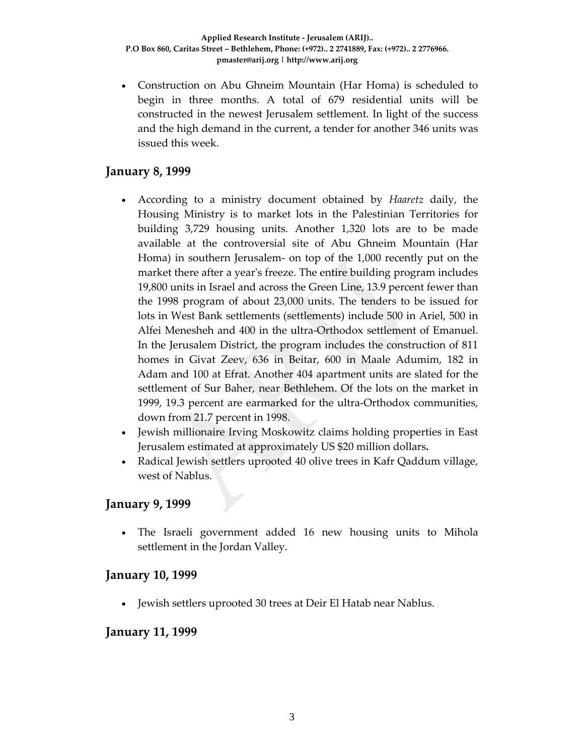• Construction on Abu Ghneim Mountain (Har Homa) is scheduled to begin in three months. A total of 679 residential units will be constructed in the newest Jerusalem settlement. In light of the success and the high demand in the current, a tender for another 346 units was issued this week.

# **January 8, 1999**

- According to a ministry document obtained by *Haaretz* daily, the Housing Ministry is to market lots in the Palestinian Territories for building 3,729 housing units. Another 1,320 lots are to be made available at the controversial site of Abu Ghneim Mountain (Har Homa) in southern Jerusalem‐ on top of the 1,000 recently put on the market there after a yearʹs freeze. The entire building program includes 19,800 units in Israel and across the Green Line, 13.9 percent fewer than the 1998 program of about 23,000 units. The tenders to be issued for lots in West Bank settlements (settlements) include 500 in Ariel, 500 in Alfei Menesheh and 400 in the ultra‐Orthodox settlement of Emanuel. In the Jerusalem District, the program includes the construction of 811 homes in Givat Zeev, 636 in Beitar, 600 in Maale Adumim, 182 in Adam and 100 at Efrat. Another 404 apartment units are slated for the settlement of Sur Baher, near Bethlehem. Of the lots on the market in 1999, 19.3 percent are earmarked for the ultra‐Orthodox communities, down from 21.7 percent in 1998.
- Jewish millionaire Irving Moskowitz claims holding properties in East Jerusalem estimated at approximately US \$20 million dollars**.**
- Radical Jewish settlers uprooted 40 olive trees in Kafr Qaddum village, west of Nablus.

### **January 9, 1999**

The Israeli government added 16 new housing units to Mihola settlement in the Jordan Valley.

### **January 10, 1999**

• Jewish settlers uprooted 30 trees at Deir El Hatab near Nablus.

### **January 11, 1999**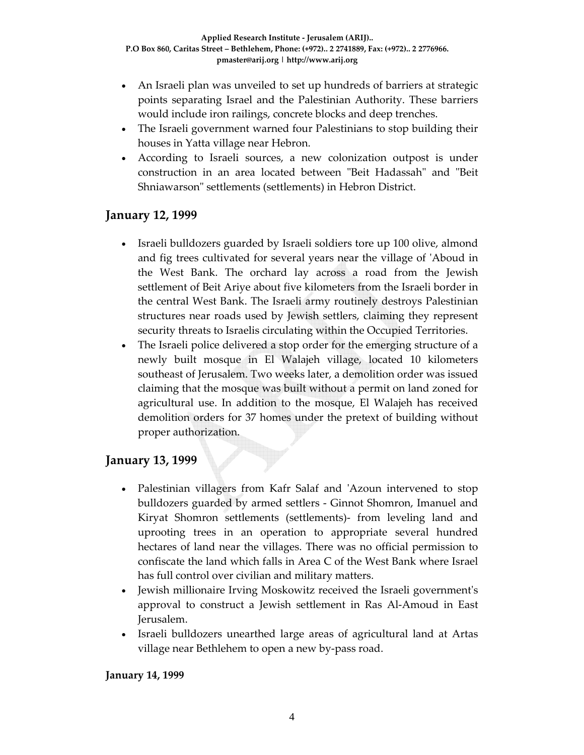- An Israeli plan was unveiled to set up hundreds of barriers at strategic points separating Israel and the Palestinian Authority. These barriers would include iron railings, concrete blocks and deep trenches.
- The Israeli government warned four Palestinians to stop building their houses in Yatta village near Hebron.
- According to Israeli sources, a new colonization outpost is under construction in an area located between "Beit Hadassah" and "Beit Shniawarson" settlements (settlements) in Hebron District.

### **January 12, 1999**

- Israeli bulldozers guarded by Israeli soldiers tore up 100 olive, almond and fig trees cultivated for several years near the village of ʹAboud in the West Bank. The orchard lay across a road from the Jewish settlement of Beit Ariye about five kilometers from the Israeli border in the central West Bank. The Israeli army routinely destroys Palestinian structures near roads used by Jewish settlers, claiming they represent security threats to Israelis circulating within the Occupied Territories.
- The Israeli police delivered a stop order for the emerging structure of a newly built mosque in El Walajeh village, located 10 kilometers southeast of Jerusalem. Two weeks later, a demolition order was issued claiming that the mosque was built without a permit on land zoned for agricultural use. In addition to the mosque, El Walajeh has received demolition orders for 37 homes under the pretext of building without proper authorization.

### **January 13, 1999**

- Palestinian villagers from Kafr Salaf and 'Azoun intervened to stop bulldozers guarded by armed settlers ‐ Ginnot Shomron, Imanuel and Kiryat Shomron settlements (settlements)‐ from leveling land and uprooting trees in an operation to appropriate several hundred hectares of land near the villages. There was no official permission to confiscate the land which falls in Area C of the West Bank where Israel has full control over civilian and military matters.
- Jewish millionaire Irving Moskowitz received the Israeli governmentʹs approval to construct a Jewish settlement in Ras Al‐Amoud in East Jerusalem.
- Israeli bulldozers unearthed large areas of agricultural land at Artas village near Bethlehem to open a new by‐pass road.

#### **January 14, 1999**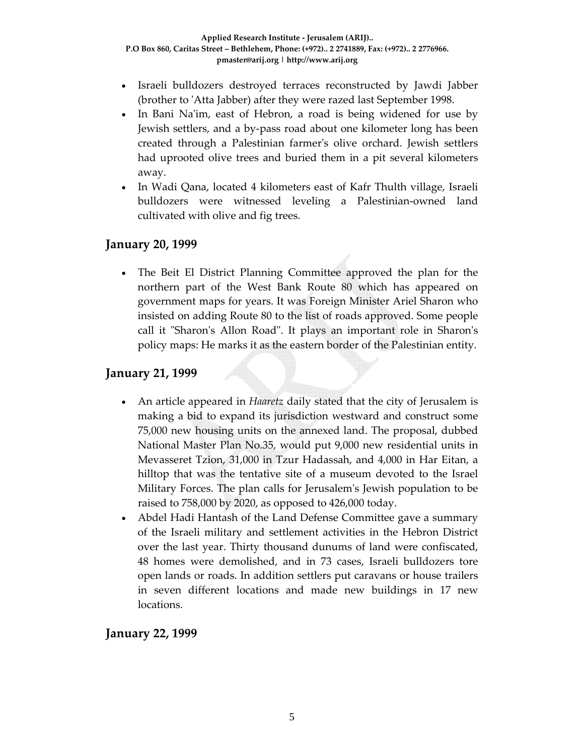- Israeli bulldozers destroyed terraces reconstructed by Jawdi Jabber (brother to 'Atta Jabber) after they were razed last September 1998.
- In Bani Na'im, east of Hebron, a road is being widened for use by Jewish settlers, and a by‐pass road about one kilometer long has been created through a Palestinian farmerʹs olive orchard. Jewish settlers had uprooted olive trees and buried them in a pit several kilometers away.
- In Wadi Qana, located 4 kilometers east of Kafr Thulth village, Israeli bulldozers were witnessed leveling a Palestinian‐owned land cultivated with olive and fig trees.

### **January 20, 1999**

The Beit El District Planning Committee approved the plan for the northern part of the West Bank Route 80 which has appeared on government maps for years. It was Foreign Minister Ariel Sharon who insisted on adding Route 80 to the list of roads approved. Some people call it "Sharon's Allon Road". It plays an important role in Sharon's policy maps: He marks it as the eastern border of the Palestinian entity.

## **January 21, 1999**

- An article appeared in *Haaretz* daily stated that the city of Jerusalem is making a bid to expand its jurisdiction westward and construct some 75,000 new housing units on the annexed land. The proposal, dubbed National Master Plan No.35, would put 9,000 new residential units in Mevasseret Tzion, 31,000 in Tzur Hadassah, and 4,000 in Har Eitan, a hilltop that was the tentative site of a museum devoted to the Israel Military Forces. The plan calls for Jerusalemʹs Jewish population to be raised to 758,000 by 2020, as opposed to 426,000 today.
- Abdel Hadi Hantash of the Land Defense Committee gave a summary of the Israeli military and settlement activities in the Hebron District over the last year. Thirty thousand dunums of land were confiscated, 48 homes were demolished, and in 73 cases, Israeli bulldozers tore open lands or roads. In addition settlers put caravans or house trailers in seven different locations and made new buildings in 17 new locations.

**January 22, 1999**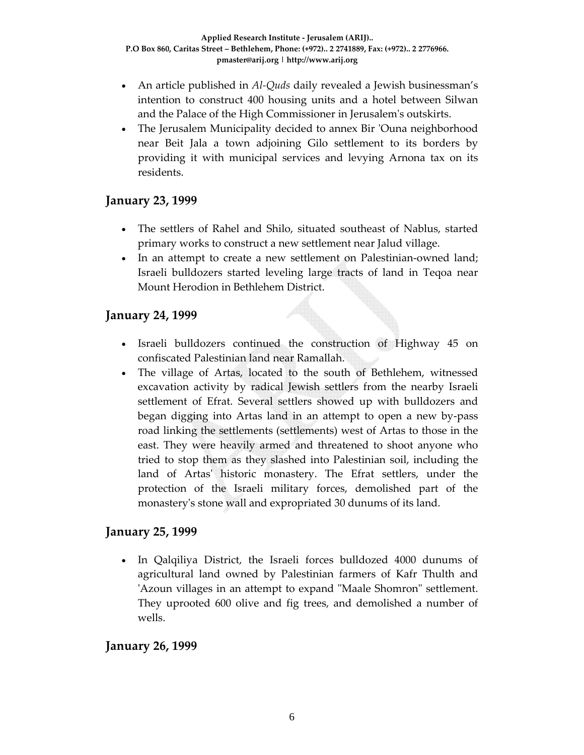- An article published in *Al-Quds* daily revealed a Jewish businessman's intention to construct 400 housing units and a hotel between Silwan and the Palace of the High Commissioner in Jerusalemʹs outskirts.
- The Jerusalem Municipality decided to annex Bir ʹOuna neighborhood near Beit Jala a town adjoining Gilo settlement to its borders by providing it with municipal services and levying Arnona tax on its residents.

### **January 23, 1999**

- The settlers of Rahel and Shilo, situated southeast of Nablus, started primary works to construct a new settlement near Jalud village.
- In an attempt to create a new settlement on Palestinian-owned land; Israeli bulldozers started leveling large tracts of land in Teqoa near Mount Herodion in Bethlehem District.

### **January 24, 1999**

- Israeli bulldozers continued the construction of Highway 45 on confiscated Palestinian land near Ramallah.
- The village of Artas, located to the south of Bethlehem, witnessed excavation activity by radical Jewish settlers from the nearby Israeli settlement of Efrat. Several settlers showed up with bulldozers and began digging into Artas land in an attempt to open a new by‐pass road linking the settlements (settlements) west of Artas to those in the east. They were heavily armed and threatened to shoot anyone who tried to stop them as they slashed into Palestinian soil, including the land of Artasʹ historic monastery. The Efrat settlers, under the protection of the Israeli military forces, demolished part of the monastery's stone wall and expropriated 30 dunums of its land.

### **January 25, 1999**

• In Qalqiliya District, the Israeli forces bulldozed 4000 dunums of agricultural land owned by Palestinian farmers of Kafr Thulth and 'Azoun villages in an attempt to expand "Maale Shomron" settlement. They uprooted 600 olive and fig trees, and demolished a number of wells.

### **January 26, 1999**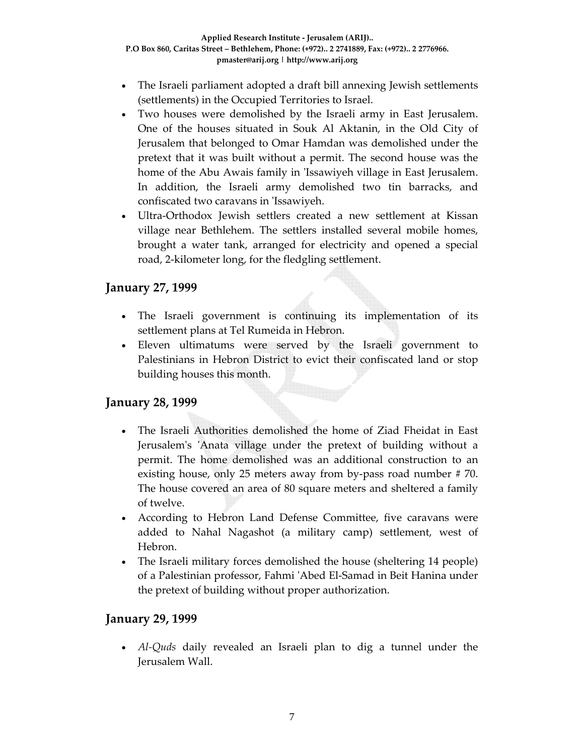- The Israeli parliament adopted a draft bill annexing Jewish settlements (settlements) in the Occupied Territories to Israel.
- Two houses were demolished by the Israeli army in East Jerusalem. One of the houses situated in Souk Al Aktanin, in the Old City of Jerusalem that belonged to Omar Hamdan was demolished under the pretext that it was built without a permit. The second house was the home of the Abu Awais family in 'Issawiyeh village in East Jerusalem. In addition, the Israeli army demolished two tin barracks, and confiscated two caravans in ʹIssawiyeh.
- Ultra‐Orthodox Jewish settlers created a new settlement at Kissan village near Bethlehem. The settlers installed several mobile homes, brought a water tank, arranged for electricity and opened a special road, 2‐kilometer long, for the fledgling settlement.

# **January 27, 1999**

- The Israeli government is continuing its implementation of its settlement plans at Tel Rumeida in Hebron.
- Eleven ultimatums were served by the Israeli government to Palestinians in Hebron District to evict their confiscated land or stop building houses this month.

# **January 28, 1999**

- The Israeli Authorities demolished the home of Ziad Fheidat in East Jerusalem's 'Anata village under the pretext of building without a permit. The home demolished was an additional construction to an existing house, only 25 meters away from by-pass road number #70. The house covered an area of 80 square meters and sheltered a family of twelve.
- According to Hebron Land Defense Committee, five caravans were added to Nahal Nagashot (a military camp) settlement, west of Hebron.
- The Israeli military forces demolished the house (sheltering 14 people) of a Palestinian professor, Fahmi ʹAbed El‐Samad in Beit Hanina under the pretext of building without proper authorization.

### **January 29, 1999**

• *Al-Quds* daily revealed an Israeli plan to dig a tunnel under the Jerusalem Wall.